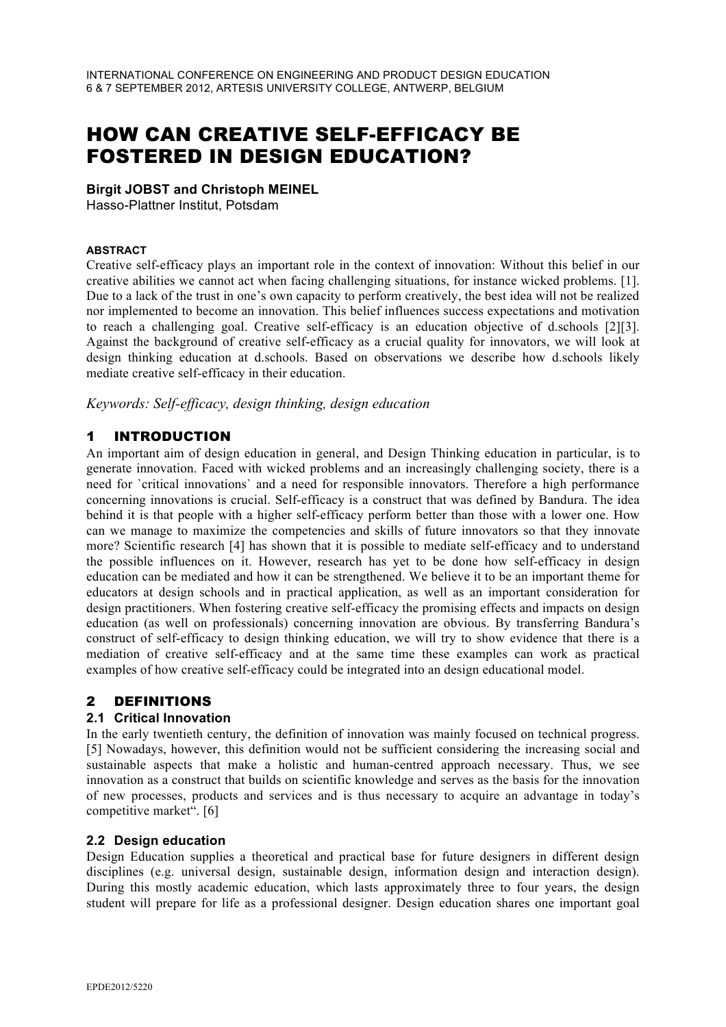# HOW CAN CREATIVE SELF-EFFICACY BE FOSTERED IN DESIGN EDUCATION?

#### **Birgit JOBST and Christoph MEINEL**

Hasso-Plattner Institut, Potsdam

#### **ABSTRACT**

Creative self-efficacy plays an important role in the context of innovation: Without this belief in our creative abilities we cannot act when facing challenging situations, for instance wicked problems. [1]. Due to a lack of the trust in one's own capacity to perform creatively, the best idea will not be realized nor implemented to become an innovation. This belief influences success expectations and motivation to reach a challenging goal. Creative self-efficacy is an education objective of d.schools [2][3]. Against the background of creative self-efficacy as a crucial quality for innovators, we will look at design thinking education at d.schools. Based on observations we describe how d.schools likely mediate creative self-efficacy in their education.

*Keywords: Self-efficacy, design thinking, design education* 

# 1 INTRODUCTION

An important aim of design education in general, and Design Thinking education in particular, is to generate innovation. Faced with wicked problems and an increasingly challenging society, there is a need for `critical innovations` and a need for responsible innovators. Therefore a high performance concerning innovations is crucial. Self-efficacy is a construct that was defined by Bandura. The idea behind it is that people with a higher self-efficacy perform better than those with a lower one. How can we manage to maximize the competencies and skills of future innovators so that they innovate more? Scientific research [4] has shown that it is possible to mediate self-efficacy and to understand the possible influences on it. However, research has yet to be done how self-efficacy in design education can be mediated and how it can be strengthened. We believe it to be an important theme for educators at design schools and in practical application, as well as an important consideration for design practitioners. When fostering creative self-efficacy the promising effects and impacts on design education (as well on professionals) concerning innovation are obvious. By transferring Bandura's construct of self-efficacy to design thinking education, we will try to show evidence that there is a mediation of creative self-efficacy and at the same time these examples can work as practical examples of how creative self-efficacy could be integrated into an design educational model.

## 2 DEFINITIONS

## **2.1 Critical Innovation**

In the early twentieth century, the definition of innovation was mainly focused on technical progress. [5] Nowadays, however, this definition would not be sufficient considering the increasing social and sustainable aspects that make a holistic and human-centred approach necessary. Thus, we see innovation as a construct that builds on scientific knowledge and serves as the basis for the innovation of new processes, products and services and is thus necessary to acquire an advantage in today's competitive market". [6]

#### **2.2 Design education**

Design Education supplies a theoretical and practical base for future designers in different design disciplines (e.g. universal design, sustainable design, information design and interaction design). During this mostly academic education, which lasts approximately three to four years, the design student will prepare for life as a professional designer. Design education shares one important goal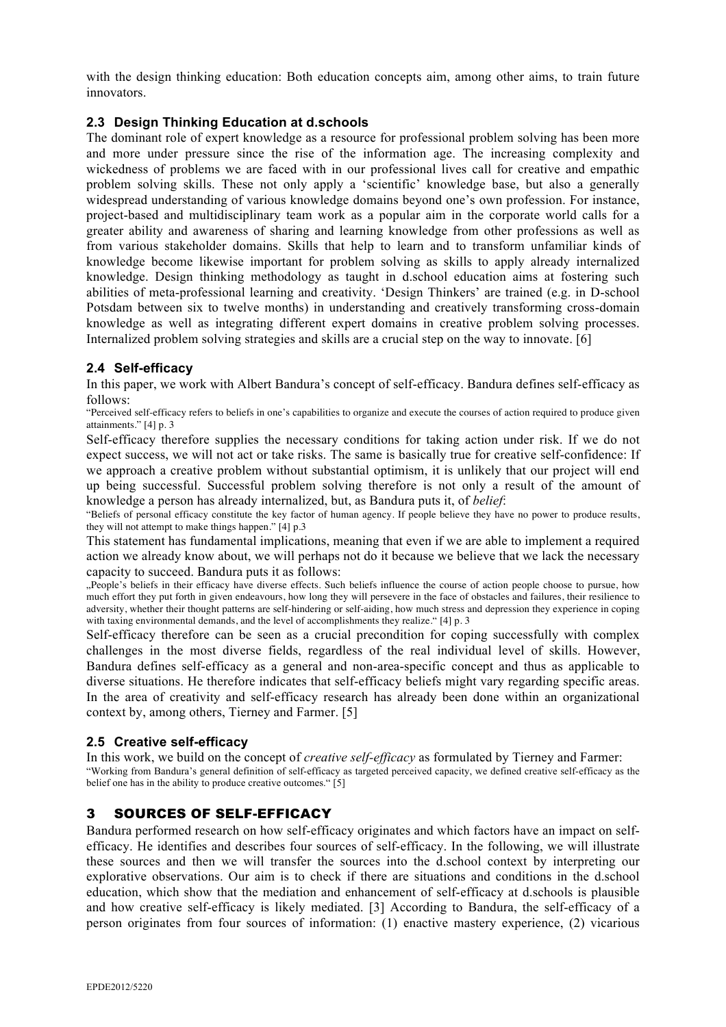with the design thinking education: Both education concepts aim, among other aims, to train future innovators.

#### **2.3 Design Thinking Education at d.schools**

The dominant role of expert knowledge as a resource for professional problem solving has been more and more under pressure since the rise of the information age. The increasing complexity and wickedness of problems we are faced with in our professional lives call for creative and empathic problem solving skills. These not only apply a 'scientific' knowledge base, but also a generally widespread understanding of various knowledge domains beyond one's own profession. For instance, project-based and multidisciplinary team work as a popular aim in the corporate world calls for a greater ability and awareness of sharing and learning knowledge from other professions as well as from various stakeholder domains. Skills that help to learn and to transform unfamiliar kinds of knowledge become likewise important for problem solving as skills to apply already internalized knowledge. Design thinking methodology as taught in d.school education aims at fostering such abilities of meta-professional learning and creativity. 'Design Thinkers' are trained (e.g. in D-school Potsdam between six to twelve months) in understanding and creatively transforming cross-domain knowledge as well as integrating different expert domains in creative problem solving processes. Internalized problem solving strategies and skills are a crucial step on the way to innovate. [6]

#### **2.4 Self-efficacy**

In this paper, we work with Albert Bandura's concept of self-efficacy. Bandura defines self-efficacy as follows:

"Perceived self-efficacy refers to beliefs in one's capabilities to organize and execute the courses of action required to produce given attainments." [4] p. 3

Self-efficacy therefore supplies the necessary conditions for taking action under risk. If we do not expect success, we will not act or take risks. The same is basically true for creative self-confidence: If we approach a creative problem without substantial optimism, it is unlikely that our project will end up being successful. Successful problem solving therefore is not only a result of the amount of knowledge a person has already internalized, but, as Bandura puts it, of *belief*:

"Beliefs of personal efficacy constitute the key factor of human agency. If people believe they have no power to produce results, they will not attempt to make things happen." [4] p.3

This statement has fundamental implications, meaning that even if we are able to implement a required action we already know about, we will perhaps not do it because we believe that we lack the necessary capacity to succeed. Bandura puts it as follows:

"People's beliefs in their efficacy have diverse effects. Such beliefs influence the course of action people choose to pursue, how much effort they put forth in given endeavours, how long they will persevere in the face of obstacles and failures, their resilience to adversity, whether their thought patterns are self-hindering or self-aiding, how much stress and depression they experience in coping with taxing environmental demands, and the level of accomplishments they realize." [4] p. 3

Self-efficacy therefore can be seen as a crucial precondition for coping successfully with complex challenges in the most diverse fields, regardless of the real individual level of skills. However, Bandura defines self-efficacy as a general and non-area-specific concept and thus as applicable to diverse situations. He therefore indicates that self-efficacy beliefs might vary regarding specific areas. In the area of creativity and self-efficacy research has already been done within an organizational context by, among others, Tierney and Farmer. [5]

## **2.5 Creative self-efficacy**

In this work, we build on the concept of *creative self-efficacy* as formulated by Tierney and Farmer: "Working from Bandura's general definition of self-efficacy as targeted perceived capacity, we defined creative self-efficacy as the belief one has in the ability to produce creative outcomes." [5]

# 3 SOURCES OF SELF-EFFICACY

Bandura performed research on how self-efficacy originates and which factors have an impact on selfefficacy. He identifies and describes four sources of self-efficacy. In the following, we will illustrate these sources and then we will transfer the sources into the d.school context by interpreting our explorative observations. Our aim is to check if there are situations and conditions in the d.school education, which show that the mediation and enhancement of self-efficacy at d.schools is plausible and how creative self-efficacy is likely mediated. [3] According to Bandura, the self-efficacy of a person originates from four sources of information: (1) enactive mastery experience, (2) vicarious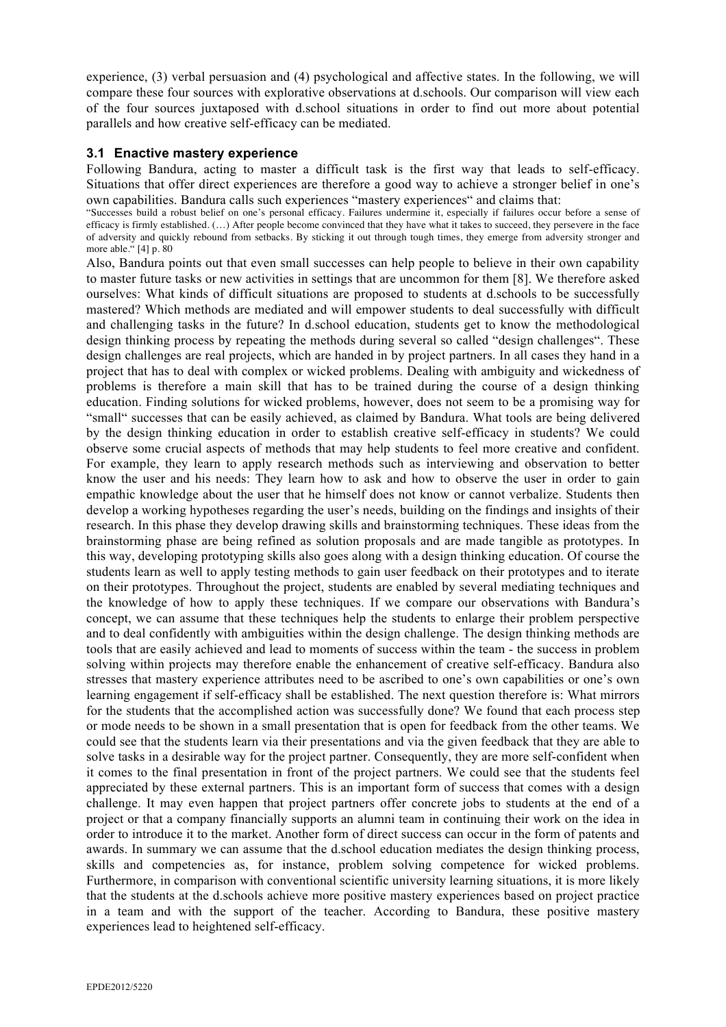experience, (3) verbal persuasion and (4) psychological and affective states. In the following, we will compare these four sources with explorative observations at d.schools. Our comparison will view each of the four sources juxtaposed with d.school situations in order to find out more about potential parallels and how creative self-efficacy can be mediated.

#### **3.1 Enactive mastery experience**

Following Bandura, acting to master a difficult task is the first way that leads to self-efficacy. Situations that offer direct experiences are therefore a good way to achieve a stronger belief in one's own capabilities. Bandura calls such experiences "mastery experiences" and claims that:

"Successes build a robust belief on one's personal efficacy. Failures undermine it, especially if failures occur before a sense of efficacy is firmly established. (…) After people become convinced that they have what it takes to succeed, they persevere in the face of adversity and quickly rebound from setbacks. By sticking it out through tough times, they emerge from adversity stronger and more able." [4] p. 80

Also, Bandura points out that even small successes can help people to believe in their own capability to master future tasks or new activities in settings that are uncommon for them [8]. We therefore asked ourselves: What kinds of difficult situations are proposed to students at d.schools to be successfully mastered? Which methods are mediated and will empower students to deal successfully with difficult and challenging tasks in the future? In d.school education, students get to know the methodological design thinking process by repeating the methods during several so called "design challenges". These design challenges are real projects, which are handed in by project partners. In all cases they hand in a project that has to deal with complex or wicked problems. Dealing with ambiguity and wickedness of problems is therefore a main skill that has to be trained during the course of a design thinking education. Finding solutions for wicked problems, however, does not seem to be a promising way for "small" successes that can be easily achieved, as claimed by Bandura. What tools are being delivered by the design thinking education in order to establish creative self-efficacy in students? We could observe some crucial aspects of methods that may help students to feel more creative and confident. For example, they learn to apply research methods such as interviewing and observation to better know the user and his needs: They learn how to ask and how to observe the user in order to gain empathic knowledge about the user that he himself does not know or cannot verbalize. Students then develop a working hypotheses regarding the user's needs, building on the findings and insights of their research. In this phase they develop drawing skills and brainstorming techniques. These ideas from the brainstorming phase are being refined as solution proposals and are made tangible as prototypes. In this way, developing prototyping skills also goes along with a design thinking education. Of course the students learn as well to apply testing methods to gain user feedback on their prototypes and to iterate on their prototypes. Throughout the project, students are enabled by several mediating techniques and the knowledge of how to apply these techniques. If we compare our observations with Bandura's concept, we can assume that these techniques help the students to enlarge their problem perspective and to deal confidently with ambiguities within the design challenge. The design thinking methods are tools that are easily achieved and lead to moments of success within the team - the success in problem solving within projects may therefore enable the enhancement of creative self-efficacy. Bandura also stresses that mastery experience attributes need to be ascribed to one's own capabilities or one's own learning engagement if self-efficacy shall be established. The next question therefore is: What mirrors for the students that the accomplished action was successfully done? We found that each process step or mode needs to be shown in a small presentation that is open for feedback from the other teams. We could see that the students learn via their presentations and via the given feedback that they are able to solve tasks in a desirable way for the project partner. Consequently, they are more self-confident when it comes to the final presentation in front of the project partners. We could see that the students feel appreciated by these external partners. This is an important form of success that comes with a design challenge. It may even happen that project partners offer concrete jobs to students at the end of a project or that a company financially supports an alumni team in continuing their work on the idea in order to introduce it to the market. Another form of direct success can occur in the form of patents and awards. In summary we can assume that the d.school education mediates the design thinking process, skills and competencies as, for instance, problem solving competence for wicked problems. Furthermore, in comparison with conventional scientific university learning situations, it is more likely that the students at the d.schools achieve more positive mastery experiences based on project practice in a team and with the support of the teacher. According to Bandura, these positive mastery experiences lead to heightened self-efficacy.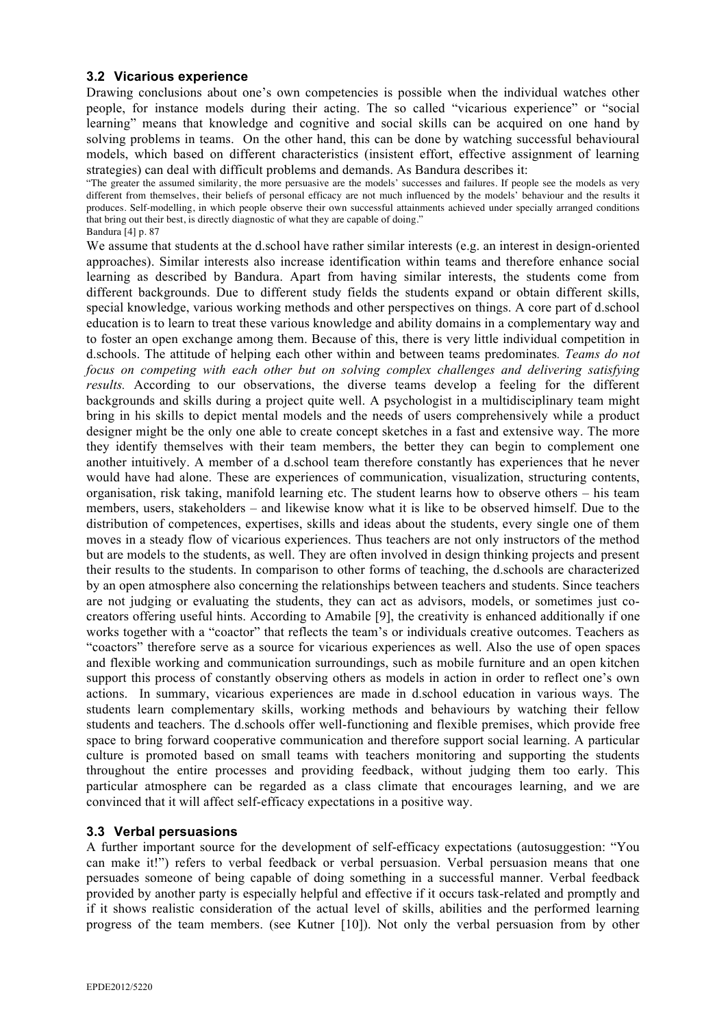#### **3.2 Vicarious experience**

Drawing conclusions about one's own competencies is possible when the individual watches other people, for instance models during their acting. The so called "vicarious experience" or "social learning" means that knowledge and cognitive and social skills can be acquired on one hand by solving problems in teams. On the other hand, this can be done by watching successful behavioural models, which based on different characteristics (insistent effort, effective assignment of learning strategies) can deal with difficult problems and demands. As Bandura describes it:

"The greater the assumed similarity, the more persuasive are the models' successes and failures. If people see the models as very different from themselves, their beliefs of personal efficacy are not much influenced by the models' behaviour and the results it produces. Self-modelling, in which people observe their own successful attainments achieved under specially arranged conditions that bring out their best, is directly diagnostic of what they are capable of doing." Bandura [4] p. 87

We assume that students at the d.school have rather similar interests (e.g. an interest in design-oriented approaches). Similar interests also increase identification within teams and therefore enhance social learning as described by Bandura. Apart from having similar interests, the students come from different backgrounds. Due to different study fields the students expand or obtain different skills, special knowledge, various working methods and other perspectives on things. A core part of d.school education is to learn to treat these various knowledge and ability domains in a complementary way and to foster an open exchange among them. Because of this, there is very little individual competition in d.schools. The attitude of helping each other within and between teams predominates*. Teams do not focus on competing with each other but on solving complex challenges and delivering satisfying results.* According to our observations, the diverse teams develop a feeling for the different backgrounds and skills during a project quite well. A psychologist in a multidisciplinary team might bring in his skills to depict mental models and the needs of users comprehensively while a product designer might be the only one able to create concept sketches in a fast and extensive way. The more they identify themselves with their team members, the better they can begin to complement one another intuitively. A member of a d.school team therefore constantly has experiences that he never would have had alone. These are experiences of communication, visualization, structuring contents, organisation, risk taking, manifold learning etc. The student learns how to observe others – his team members, users, stakeholders – and likewise know what it is like to be observed himself. Due to the distribution of competences, expertises, skills and ideas about the students, every single one of them moves in a steady flow of vicarious experiences. Thus teachers are not only instructors of the method but are models to the students, as well. They are often involved in design thinking projects and present their results to the students. In comparison to other forms of teaching, the d.schools are characterized by an open atmosphere also concerning the relationships between teachers and students. Since teachers are not judging or evaluating the students, they can act as advisors, models, or sometimes just cocreators offering useful hints. According to Amabile [9], the creativity is enhanced additionally if one works together with a "coactor" that reflects the team's or individuals creative outcomes. Teachers as "coactors" therefore serve as a source for vicarious experiences as well. Also the use of open spaces and flexible working and communication surroundings, such as mobile furniture and an open kitchen support this process of constantly observing others as models in action in order to reflect one's own actions. In summary, vicarious experiences are made in d.school education in various ways. The students learn complementary skills, working methods and behaviours by watching their fellow students and teachers. The d.schools offer well-functioning and flexible premises, which provide free space to bring forward cooperative communication and therefore support social learning. A particular culture is promoted based on small teams with teachers monitoring and supporting the students throughout the entire processes and providing feedback, without judging them too early. This particular atmosphere can be regarded as a class climate that encourages learning, and we are convinced that it will affect self-efficacy expectations in a positive way.

## **3.3 Verbal persuasions**

A further important source for the development of self-efficacy expectations (autosuggestion: "You can make it!") refers to verbal feedback or verbal persuasion. Verbal persuasion means that one persuades someone of being capable of doing something in a successful manner. Verbal feedback provided by another party is especially helpful and effective if it occurs task-related and promptly and if it shows realistic consideration of the actual level of skills, abilities and the performed learning progress of the team members. (see Kutner [10]). Not only the verbal persuasion from by other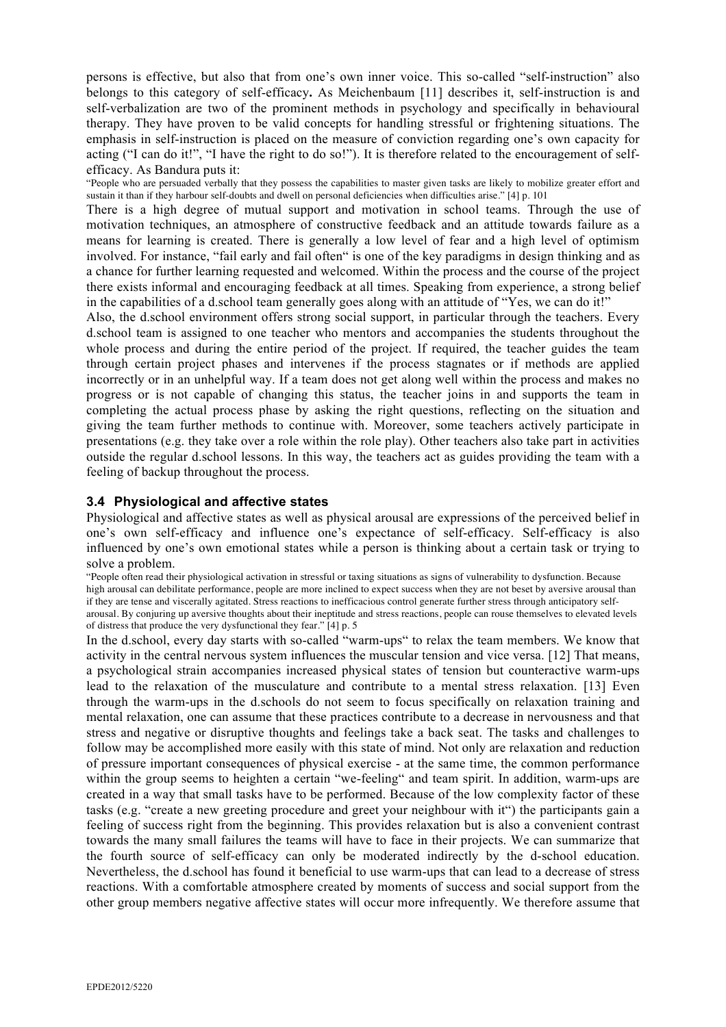persons is effective, but also that from one's own inner voice. This so-called "self-instruction" also belongs to this category of self-efficacy**.** As Meichenbaum [11] describes it, self-instruction is and self-verbalization are two of the prominent methods in psychology and specifically in behavioural therapy. They have proven to be valid concepts for handling stressful or frightening situations. The emphasis in self-instruction is placed on the measure of conviction regarding one's own capacity for acting ("I can do it!", "I have the right to do so!"). It is therefore related to the encouragement of selfefficacy. As Bandura puts it:

"People who are persuaded verbally that they possess the capabilities to master given tasks are likely to mobilize greater effort and sustain it than if they harbour self-doubts and dwell on personal deficiencies when difficulties arise." [4] p. 101

There is a high degree of mutual support and motivation in school teams. Through the use of motivation techniques, an atmosphere of constructive feedback and an attitude towards failure as a means for learning is created. There is generally a low level of fear and a high level of optimism involved. For instance, "fail early and fail often" is one of the key paradigms in design thinking and as a chance for further learning requested and welcomed. Within the process and the course of the project there exists informal and encouraging feedback at all times. Speaking from experience, a strong belief in the capabilities of a d.school team generally goes along with an attitude of "Yes, we can do it!"

Also, the d.school environment offers strong social support, in particular through the teachers. Every d.school team is assigned to one teacher who mentors and accompanies the students throughout the whole process and during the entire period of the project. If required, the teacher guides the team through certain project phases and intervenes if the process stagnates or if methods are applied incorrectly or in an unhelpful way. If a team does not get along well within the process and makes no progress or is not capable of changing this status, the teacher joins in and supports the team in completing the actual process phase by asking the right questions, reflecting on the situation and giving the team further methods to continue with. Moreover, some teachers actively participate in presentations (e.g. they take over a role within the role play). Other teachers also take part in activities outside the regular d.school lessons. In this way, the teachers act as guides providing the team with a feeling of backup throughout the process.

#### **3.4 Physiological and affective states**

Physiological and affective states as well as physical arousal are expressions of the perceived belief in one's own self-efficacy and influence one's expectance of self-efficacy. Self-efficacy is also influenced by one's own emotional states while a person is thinking about a certain task or trying to solve a problem.

"People often read their physiological activation in stressful or taxing situations as signs of vulnerability to dysfunction. Because high arousal can debilitate performance, people are more inclined to expect success when they are not beset by aversive arousal than if they are tense and viscerally agitated. Stress reactions to inefficacious control generate further stress through anticipatory selfarousal. By conjuring up aversive thoughts about their ineptitude and stress reactions, people can rouse themselves to elevated levels of distress that produce the very dysfunctional they fear." [4] p. 5

In the d.school, every day starts with so-called "warm-ups" to relax the team members. We know that activity in the central nervous system influences the muscular tension and vice versa. [12] That means, a psychological strain accompanies increased physical states of tension but counteractive warm-ups lead to the relaxation of the musculature and contribute to a mental stress relaxation. [13] Even through the warm-ups in the d.schools do not seem to focus specifically on relaxation training and mental relaxation, one can assume that these practices contribute to a decrease in nervousness and that stress and negative or disruptive thoughts and feelings take a back seat. The tasks and challenges to follow may be accomplished more easily with this state of mind. Not only are relaxation and reduction of pressure important consequences of physical exercise - at the same time, the common performance within the group seems to heighten a certain "we-feeling" and team spirit. In addition, warm-ups are created in a way that small tasks have to be performed. Because of the low complexity factor of these tasks (e.g. "create a new greeting procedure and greet your neighbour with it") the participants gain a feeling of success right from the beginning. This provides relaxation but is also a convenient contrast towards the many small failures the teams will have to face in their projects. We can summarize that the fourth source of self-efficacy can only be moderated indirectly by the d-school education. Nevertheless, the d.school has found it beneficial to use warm-ups that can lead to a decrease of stress reactions. With a comfortable atmosphere created by moments of success and social support from the other group members negative affective states will occur more infrequently. We therefore assume that